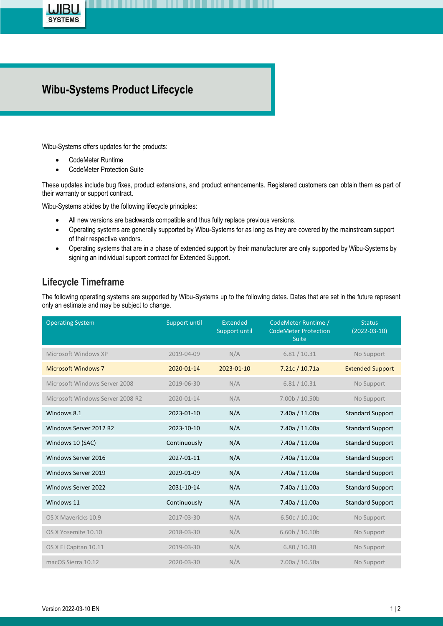

## **Wibu-Systems Product Lifecycle**

Wibu-Systems offers updates for the products:

- CodeMeter Runtime
- CodeMeter Protection Suite

These updates include bug fixes, product extensions, and product enhancements. Registered customers can obtain them as part of their warranty or support contract.

Wibu-Systems abides by the following lifecycle principles:

- All new versions are backwards compatible and thus fully replace previous versions.
- Operating systems are generally supported by Wibu-Systems for as long as they are covered by the mainstream support of their respective vendors.
- Operating systems that are in a phase of extended support by their manufacturer are only supported by Wibu-Systems by signing an individual support contract for Extended Support.

## **Lifecycle Timeframe**

The following operating systems are supported by Wibu-Systems up to the following dates. Dates that are set in the future represent only an estimate and may be subject to change.

| <b>Operating System</b>          | Support until | Extended<br>Support until | CodeMeter Runtime /<br><b>CodeMeter Protection</b><br><b>Suite</b> | <b>Status</b><br>$(2022 - 03 - 10)$ |
|----------------------------------|---------------|---------------------------|--------------------------------------------------------------------|-------------------------------------|
| Microsoft Windows XP             | 2019-04-09    | N/A                       | 6.81 / 10.31                                                       | No Support                          |
| <b>Microsoft Windows 7</b>       | 2020-01-14    | 2023-01-10                | 7.21c / 10.71a                                                     | <b>Extended Support</b>             |
| Microsoft Windows Server 2008    | 2019-06-30    | N/A                       | 6.81 / 10.31                                                       | No Support                          |
| Microsoft Windows Server 2008 R2 | 2020-01-14    | N/A                       | 7.00b / 10.50b                                                     | No Support                          |
| Windows 8.1                      | 2023-01-10    | N/A                       | 7.40a / 11.00a                                                     | <b>Standard Support</b>             |
| Windows Server 2012 R2           | 2023-10-10    | N/A                       | 7.40a / 11.00a                                                     | <b>Standard Support</b>             |
| Windows 10 (SAC)                 | Continuously  | N/A                       | 7.40a / 11.00a                                                     | <b>Standard Support</b>             |
| Windows Server 2016              | 2027-01-11    | N/A                       | 7.40a / 11.00a                                                     | <b>Standard Support</b>             |
| Windows Server 2019              | 2029-01-09    | N/A                       | 7.40a / 11.00a                                                     | <b>Standard Support</b>             |
| Windows Server 2022              | 2031-10-14    | N/A                       | 7.40a / 11.00a                                                     | <b>Standard Support</b>             |
| Windows 11                       | Continuously  | N/A                       | 7.40a / 11.00a                                                     | <b>Standard Support</b>             |
| OS X Mavericks 10.9              | 2017-03-30    | N/A                       | 6.50c / 10.10c                                                     | No Support                          |
| OS X Yosemite 10.10              | 2018-03-30    | N/A                       | 6.60b / 10.10b                                                     | No Support                          |
| OS X El Capitan 10.11            | 2019-03-30    | N/A                       | 6.80 / 10.30                                                       | No Support                          |
| macOS Sierra 10.12               | 2020-03-30    | N/A                       | 7.00a / 10.50a                                                     | No Support                          |